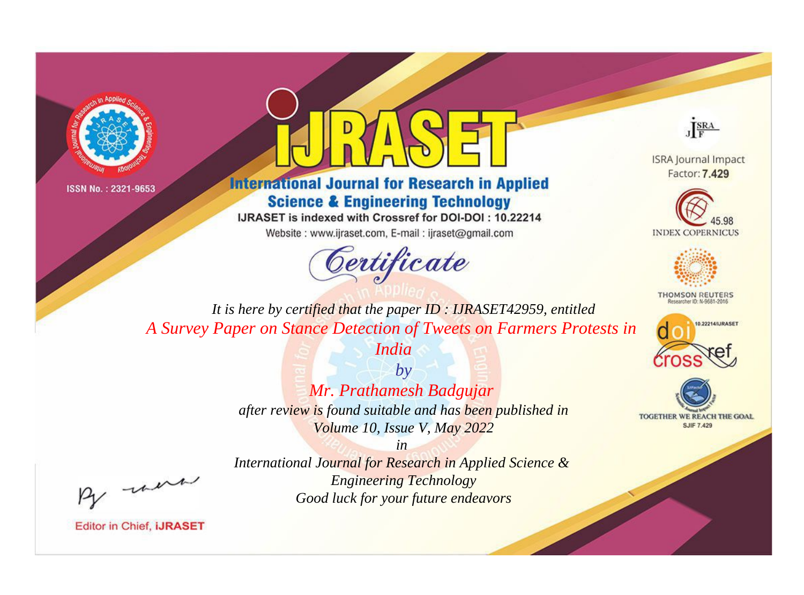



## **International Journal for Research in Applied Science & Engineering Technology**

IJRASET is indexed with Crossref for DOI-DOI: 10.22214

Website: www.ijraset.com, E-mail: ijraset@gmail.com



JERA

**ISRA Journal Impact** Factor: 7.429





**THOMSON REUTERS** 



TOGETHER WE REACH THE GOAL **SJIF 7.429** 

It is here by certified that the paper ID: IJRASET42959, entitled A Survey Paper on Stance Detection of Tweets on Farmers Protests in

India

 $b\nu$ Mr. Prathamesh Badgujar after review is found suitable and has been published in Volume 10, Issue V, May 2022

were

International Journal for Research in Applied Science & **Engineering Technology** Good luck for your future endeavors

 $in$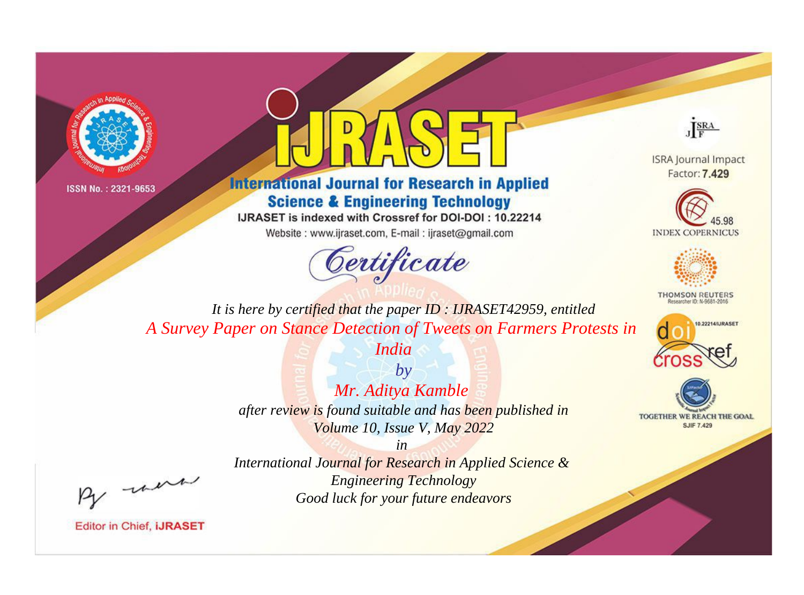



**International Journal for Research in Applied Science & Engineering Technology** 

IJRASET is indexed with Crossref for DOI-DOI: 10.22214

Website: www.ijraset.com, E-mail: ijraset@gmail.com





**ISRA Journal Impact** Factor: 7.429





**THOMSON REUTERS** 



TOGETHER WE REACH THE GOAL **SJIF 7.429** 

*It is here by certified that the paper ID : IJRASET42959, entitled A Survey Paper on Stance Detection of Tweets on Farmers Protests in* 

*India*

*by Mr. Aditya Kamble after review is found suitable and has been published in Volume 10, Issue V, May 2022*

, un

*International Journal for Research in Applied Science & Engineering Technology Good luck for your future endeavors*

*in*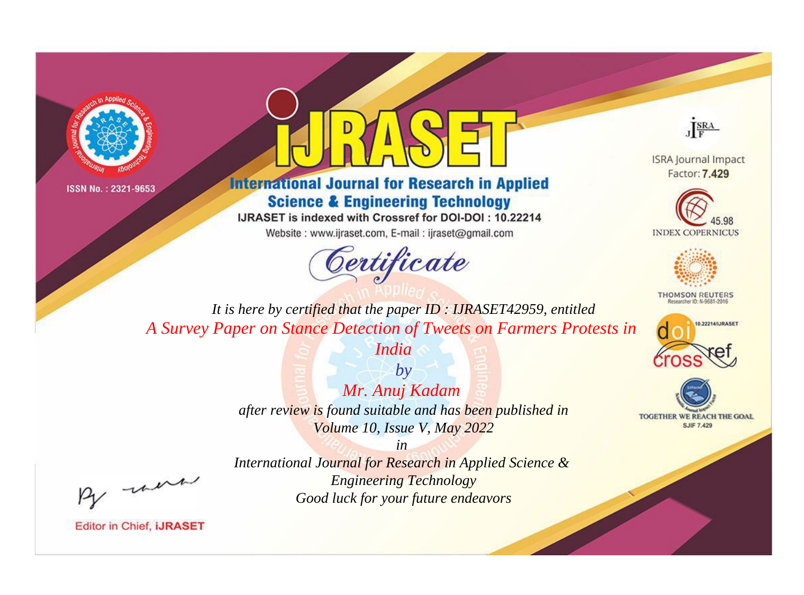



## **International Journal for Research in Applied Science & Engineering Technology**

IJRASET is indexed with Crossref for DOI-DOI: 10.22214

Website: www.ijraset.com, E-mail: ijraset@gmail.com



JERA

**ISRA Journal Impact** Factor: 7.429





**THOMSON REUTERS** 



TOGETHER WE REACH THE GOAL **SJIF 7.429** 

It is here by certified that the paper ID: IJRASET42959, entitled A Survey Paper on Stance Detection of Tweets on Farmers Protests in

India

 $b\nu$ Mr. Anuj Kadam after review is found suitable and has been published in Volume 10, Issue V, May 2022

were

International Journal for Research in Applied Science & **Engineering Technology** Good luck for your future endeavors

 $in$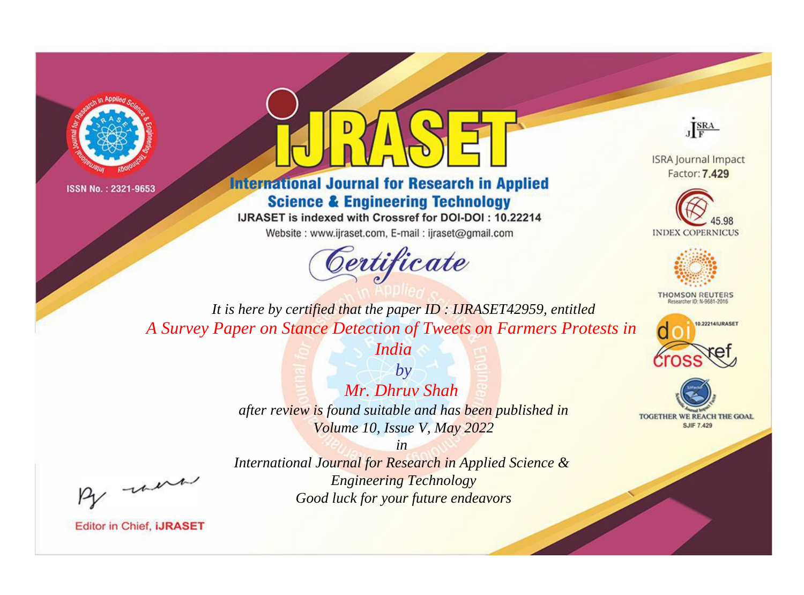



## **International Journal for Research in Applied Science & Engineering Technology**

IJRASET is indexed with Crossref for DOI-DOI: 10.22214

Website: www.ijraset.com, E-mail: ijraset@gmail.com



JERA

**ISRA Journal Impact** Factor: 7.429





**THOMSON REUTERS** 



TOGETHER WE REACH THE GOAL **SJIF 7.429** 

It is here by certified that the paper ID: IJRASET42959, entitled A Survey Paper on Stance Detection of Tweets on Farmers Protests in

India

 $b\nu$ Mr. Dhruv Shah after review is found suitable and has been published in Volume 10, Issue V, May 2022

-were

International Journal for Research in Applied Science & **Engineering Technology** Good luck for your future endeavors

 $in$